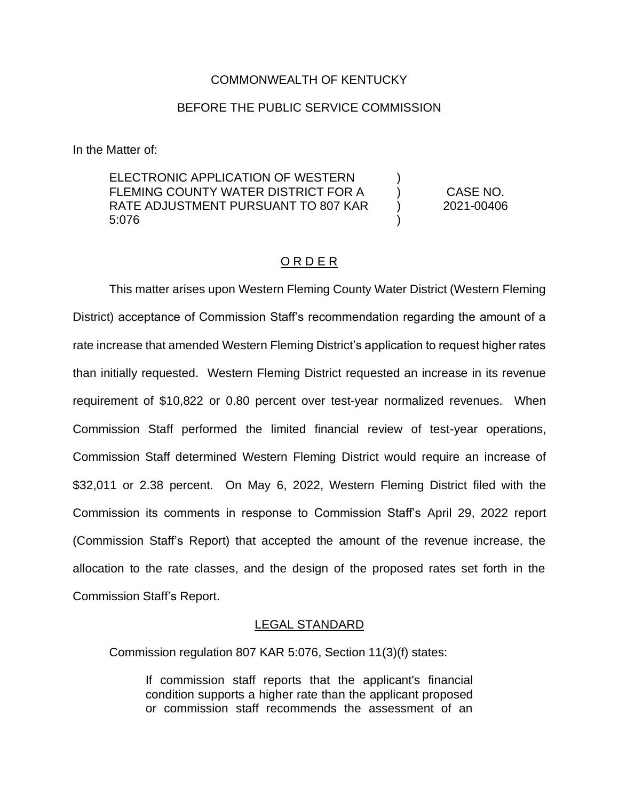#### COMMONWEALTH OF KENTUCKY

#### BEFORE THE PUBLIC SERVICE COMMISSION

In the Matter of:

ELECTRONIC APPLICATION OF WESTERN FLEMING COUNTY WATER DISTRICT FOR A RATE ADJUSTMENT PURSUANT TO 807 KAR 5:076  $\lambda$ )  $\lambda$ ) CASE NO. 2021-00406

#### O R D E R

This matter arises upon Western Fleming County Water District (Western Fleming District) acceptance of Commission Staff's recommendation regarding the amount of a rate increase that amended Western Fleming District's application to request higher rates than initially requested. Western Fleming District requested an increase in its revenue requirement of \$10,822 or 0.80 percent over test-year normalized revenues. When Commission Staff performed the limited financial review of test-year operations, Commission Staff determined Western Fleming District would require an increase of \$32,011 or 2.38 percent. On May 6, 2022, Western Fleming District filed with the Commission its comments in response to Commission Staff's April 29, 2022 report (Commission Staff's Report) that accepted the amount of the revenue increase, the allocation to the rate classes, and the design of the proposed rates set forth in the Commission Staff's Report.

#### LEGAL STANDARD

Commission regulation 807 KAR 5:076, Section 11(3)(f) states:

If commission staff reports that the applicant's financial condition supports a higher rate than the applicant proposed or commission staff recommends the assessment of an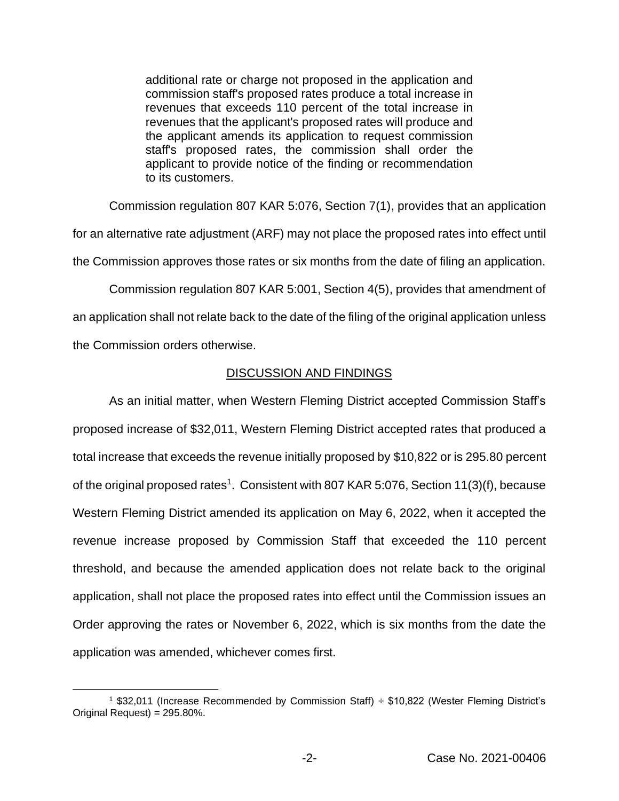additional rate or charge not proposed in the application and commission staff's proposed rates produce a total increase in revenues that exceeds 110 percent of the total increase in revenues that the applicant's proposed rates will produce and the applicant amends its application to request commission staff's proposed rates, the commission shall order the applicant to provide notice of the finding or recommendation to its customers.

Commission regulation 807 KAR 5:076, Section 7(1), provides that an application for an alternative rate adjustment (ARF) may not place the proposed rates into effect until the Commission approves those rates or six months from the date of filing an application.

Commission regulation 807 KAR 5:001, Section 4(5), provides that amendment of an application shall not relate back to the date of the filing of the original application unless the Commission orders otherwise.

## DISCUSSION AND FINDINGS

As an initial matter, when Western Fleming District accepted Commission Staff's proposed increase of \$32,011, Western Fleming District accepted rates that produced a total increase that exceeds the revenue initially proposed by \$10,822 or is 295.80 percent of the original proposed rates<sup>1</sup>. Consistent with 807 KAR 5:076, Section 11(3)(f), because Western Fleming District amended its application on May 6, 2022, when it accepted the revenue increase proposed by Commission Staff that exceeded the 110 percent threshold, and because the amended application does not relate back to the original application, shall not place the proposed rates into effect until the Commission issues an Order approving the rates or November 6, 2022, which is six months from the date the application was amended, whichever comes first.

<sup>1</sup> \$32,011 (Increase Recommended by Commission Staff) ÷ \$10,822 (Wester Fleming District's Original Request) = 295.80%.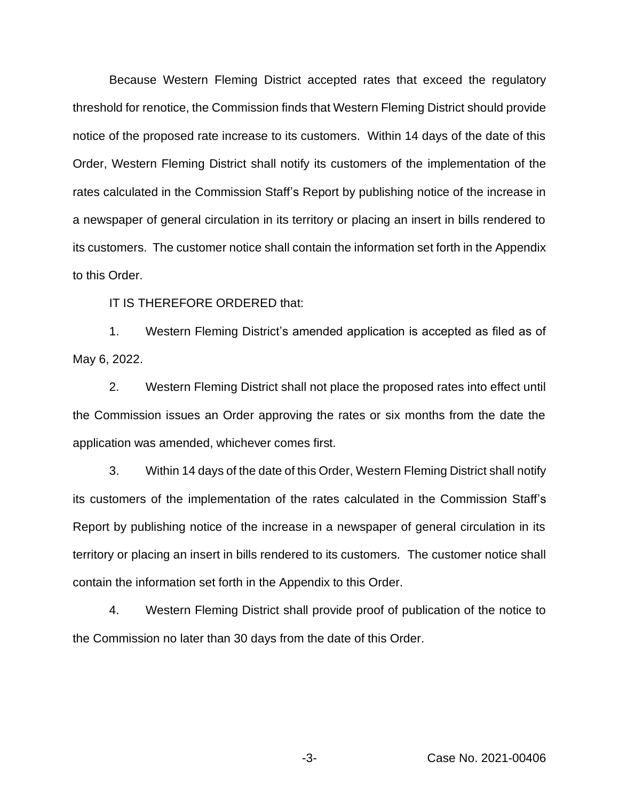Because Western Fleming District accepted rates that exceed the regulatory threshold for renotice, the Commission finds that Western Fleming District should provide notice of the proposed rate increase to its customers. Within 14 days of the date of this Order, Western Fleming District shall notify its customers of the implementation of the rates calculated in the Commission Staff's Report by publishing notice of the increase in a newspaper of general circulation in its territory or placing an insert in bills rendered to its customers. The customer notice shall contain the information set forth in the Appendix to this Order.

IT IS THEREFORE ORDERED that:

1. Western Fleming District's amended application is accepted as filed as of May 6, 2022.

2. Western Fleming District shall not place the proposed rates into effect until the Commission issues an Order approving the rates or six months from the date the application was amended, whichever comes first.

3. Within 14 days of the date of this Order, Western Fleming District shall notify its customers of the implementation of the rates calculated in the Commission Staff's Report by publishing notice of the increase in a newspaper of general circulation in its territory or placing an insert in bills rendered to its customers. The customer notice shall contain the information set forth in the Appendix to this Order.

4. Western Fleming District shall provide proof of publication of the notice to the Commission no later than 30 days from the date of this Order.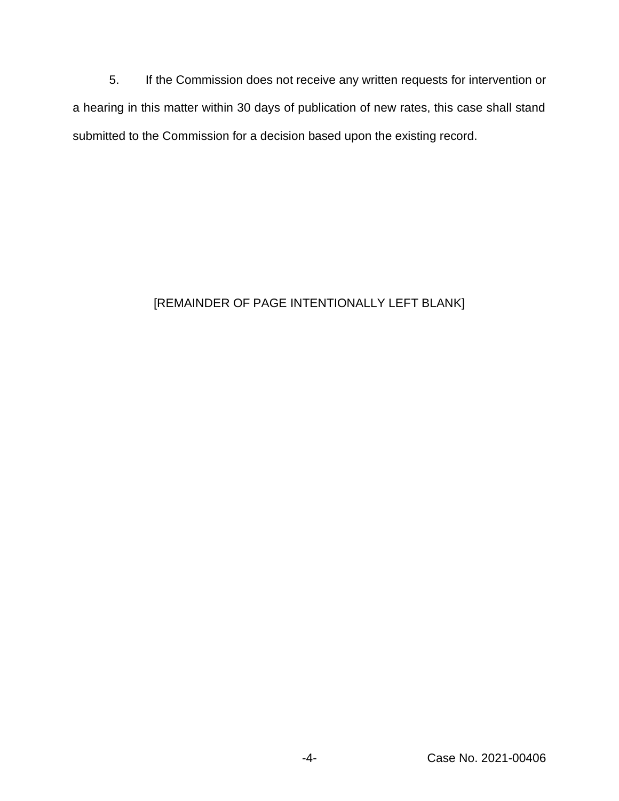5. If the Commission does not receive any written requests for intervention or a hearing in this matter within 30 days of publication of new rates, this case shall stand submitted to the Commission for a decision based upon the existing record.

# [REMAINDER OF PAGE INTENTIONALLY LEFT BLANK]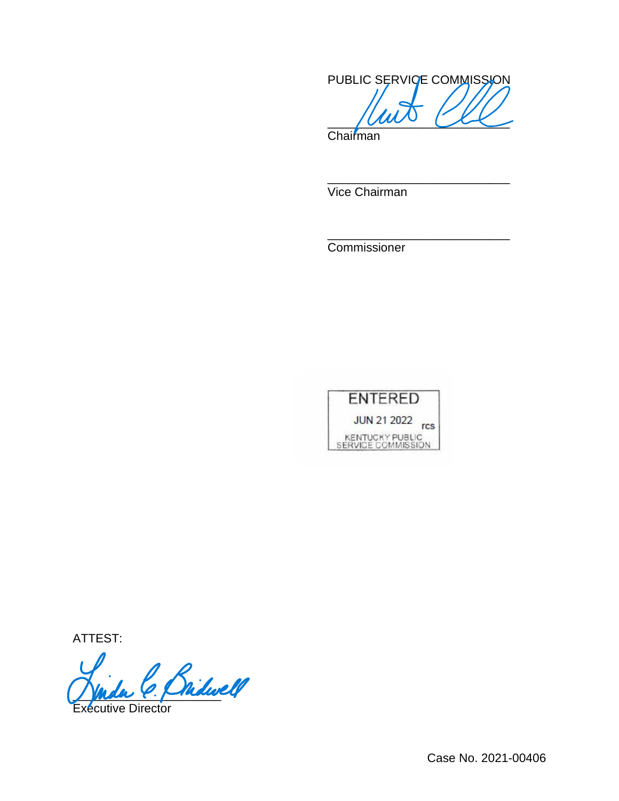PUBLIC SERVICE COMMISSION  $\frac{1}{2}$ 

\_\_\_\_\_\_\_\_\_\_\_\_\_\_\_\_\_\_\_\_\_\_\_\_\_\_\_

\_\_\_\_\_\_\_\_\_\_\_\_\_\_\_\_\_\_\_\_\_\_\_\_\_\_\_

**Chairman** 

Vice Chairman

Commissioner



ATTEST:

Bridwell

écutive Director

Case No. 2021-00406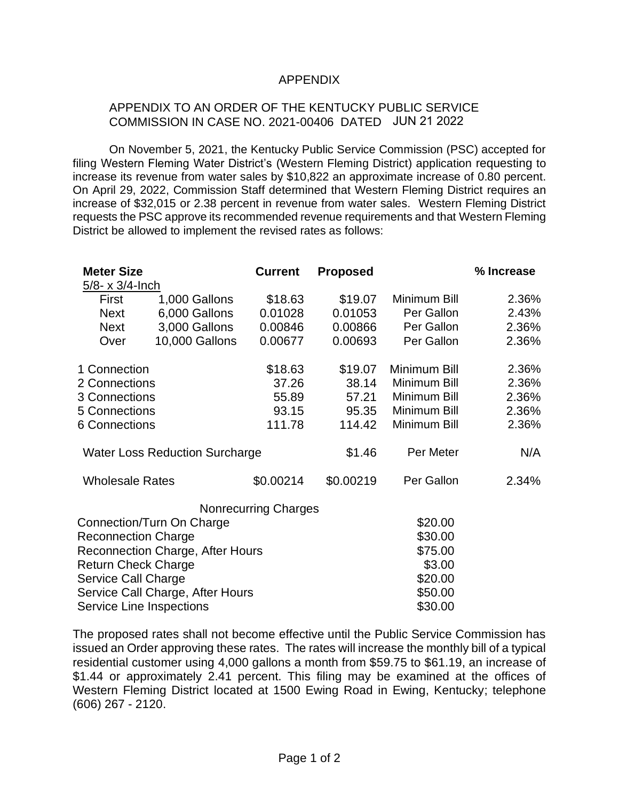### APPENDIX

### APPENDIX TO AN ORDER OF THE KENTUCKY PUBLIC SERVICE COMMISSION IN CASE NO. 2021-00406 DATED JUN 21 2022

On November 5, 2021, the Kentucky Public Service Commission (PSC) accepted for filing Western Fleming Water District's (Western Fleming District) application requesting to increase its revenue from water sales by \$10,822 an approximate increase of 0.80 percent. On April 29, 2022, Commission Staff determined that Western Fleming District requires an increase of \$32,015 or 2.38 percent in revenue from water sales. Western Fleming District requests the PSC approve its recommended revenue requirements and that Western Fleming District be allowed to implement the revised rates as follows:

| <b>Meter Size</b>                       |                | <b>Current</b>              | <b>Proposed</b> |              | % Increase |
|-----------------------------------------|----------------|-----------------------------|-----------------|--------------|------------|
| 5/8- x 3/4-lnch                         |                |                             |                 |              |            |
| First                                   | 1,000 Gallons  | \$18.63                     | \$19.07         | Minimum Bill | 2.36%      |
| <b>Next</b>                             | 6,000 Gallons  | 0.01028                     | 0.01053         | Per Gallon   | 2.43%      |
| <b>Next</b>                             | 3,000 Gallons  | 0.00846                     | 0.00866         | Per Gallon   | 2.36%      |
| Over                                    | 10,000 Gallons | 0.00677                     | 0.00693         | Per Gallon   | 2.36%      |
| 1 Connection                            |                | \$18.63                     | \$19.07         | Minimum Bill | 2.36%      |
| 2 Connections                           |                | 37.26                       | 38.14           | Minimum Bill | 2.36%      |
| 3 Connections                           |                | 55.89                       | 57.21           | Minimum Bill | 2.36%      |
| 5 Connections                           |                | 93.15                       | 95.35           | Minimum Bill | 2.36%      |
| 6 Connections                           |                | 111.78                      | 114.42          | Minimum Bill | 2.36%      |
| <b>Water Loss Reduction Surcharge</b>   |                |                             | \$1.46          | Per Meter    | N/A        |
| <b>Wholesale Rates</b>                  |                | \$0.00214                   | \$0.00219       | Per Gallon   | 2.34%      |
|                                         |                | <b>Nonrecurring Charges</b> |                 |              |            |
| Connection/Turn On Charge               |                |                             |                 | \$20.00      |            |
| <b>Reconnection Charge</b>              |                |                             |                 | \$30.00      |            |
| <b>Reconnection Charge, After Hours</b> |                |                             |                 | \$75.00      |            |
| <b>Return Check Charge</b>              |                |                             |                 | \$3.00       |            |
| <b>Service Call Charge</b>              |                |                             |                 | \$20.00      |            |
| Service Call Charge, After Hours        |                |                             |                 | \$50.00      |            |
| Service Line Inspections                |                |                             |                 | \$30.00      |            |

The proposed rates shall not become effective until the Public Service Commission has issued an Order approving these rates. The rates will increase the monthly bill of a typical residential customer using 4,000 gallons a month from \$59.75 to \$61.19, an increase of \$1.44 or approximately 2.41 percent. This filing may be examined at the offices of Western Fleming District located at 1500 Ewing Road in Ewing, Kentucky; telephone (606) 267 - 2120.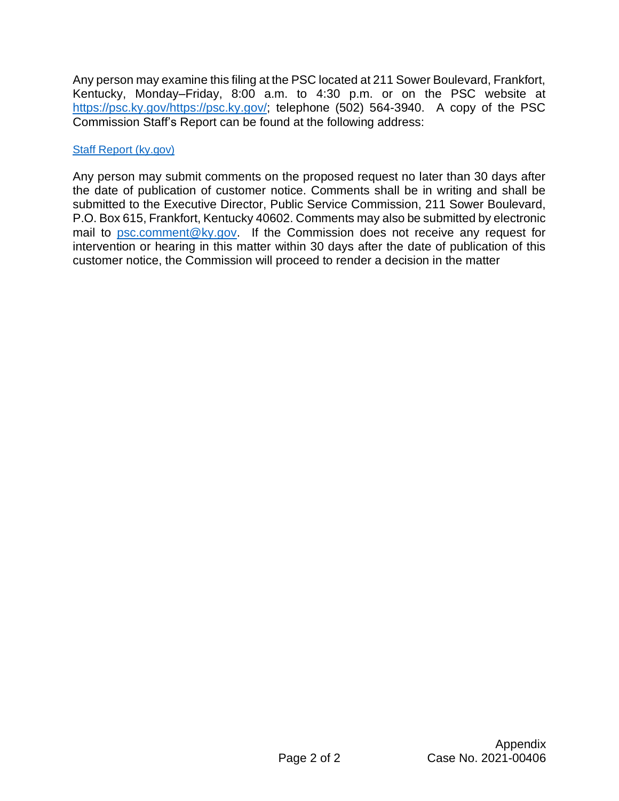Any person may examine this filing at the PSC located at 211 Sower Boulevard, Frankfort, Kentucky, Monday–Friday, 8:00 a.m. to 4:30 p.m. or on the PSC website at [https://psc.ky.gov/https://psc.ky.gov/;](https://psc.ky.gov/) telephone (502) 564-3940. A copy of the PSC Commission Staff's Report can be found at the following address:

# [Staff Report \(ky.gov\)](https://psc.ky.gov/pscscf/2021%20Cases/2021-00406/20220429_STAFF_REPORT.pdf)

Any person may submit comments on the proposed request no later than 30 days after the date of publication of customer notice. Comments shall be in writing and shall be submitted to the Executive Director, Public Service Commission, 211 Sower Boulevard, P.O. Box 615, Frankfort, Kentucky 40602. Comments may also be submitted by electronic mail to [psc.comment@ky.gov.](mailto:psc.comment@ky.gov) If the Commission does not receive any request for intervention or hearing in this matter within 30 days after the date of publication of this customer notice, the Commission will proceed to render a decision in the matter